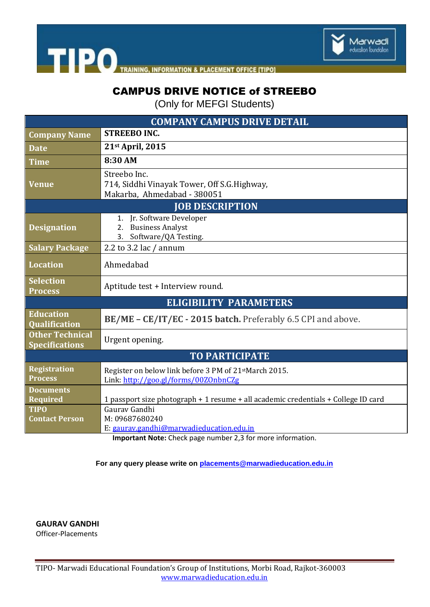

THE PO TRAINING, INFORMATION & PLACEMENT OFFICE [TIPO]

### CAMPUS DRIVE NOTICE of STREEBO

(Only for MEFGI Students)

| <b>COMPANY CAMPUS DRIVE DETAIL</b>              |                                                                                                            |
|-------------------------------------------------|------------------------------------------------------------------------------------------------------------|
| <b>Company Name</b>                             | <b>STREEBO INC.</b>                                                                                        |
| <b>Date</b>                                     | 21st April, 2015                                                                                           |
| <b>Time</b>                                     | 8:30 AM                                                                                                    |
| <b>Venue</b>                                    | Streebo Inc.<br>714, Siddhi Vinayak Tower, Off S.G. Highway,<br>Makarba, Ahmedabad - 380051                |
| <b>JOB DESCRIPTION</b>                          |                                                                                                            |
| <b>Designation</b>                              | 1. Jr. Software Developer<br>2. Business Analyst<br>3. Software/QA Testing.                                |
| <b>Salary Package</b>                           | 2.2 to 3.2 lac $/$ annum                                                                                   |
| <b>Location</b>                                 | Ahmedabad                                                                                                  |
| <b>Selection</b><br><b>Process</b>              | Aptitude test + Interview round.                                                                           |
| <b>ELIGIBILITY PARAMETERS</b>                   |                                                                                                            |
| <b>Education</b><br>Qualification               | BE/ME - CE/IT/EC - 2015 batch. Preferably 6.5 CPI and above.                                               |
| <b>Other Technical</b><br><b>Specifications</b> | Urgent opening.                                                                                            |
| <b>TO PARTICIPATE</b>                           |                                                                                                            |
| <b>Registration</b><br><b>Process</b>           | Register on below link before 3 PM of 21 <sup>st</sup> March 2015.<br>Link: http://goo.gl/forms/00ZOnbnCZg |
| <b>Documents</b><br>Required                    | 1 passport size photograph + 1 resume + all academic credentials + College ID card                         |
| <b>TIPO</b><br><b>Contact Person</b>            | Gauray Gandhi<br>M: 09687680240<br>E: gaurav.gandhi@marwadieducation.edu.in                                |

**Important Note:** Check page number 2,3 for more information.

**For any query please write on [placements@marwadieducation.edu.in](mailto:placements@marwadieducation.edu.in)**

**GAURAV GANDHI** Officer-Placements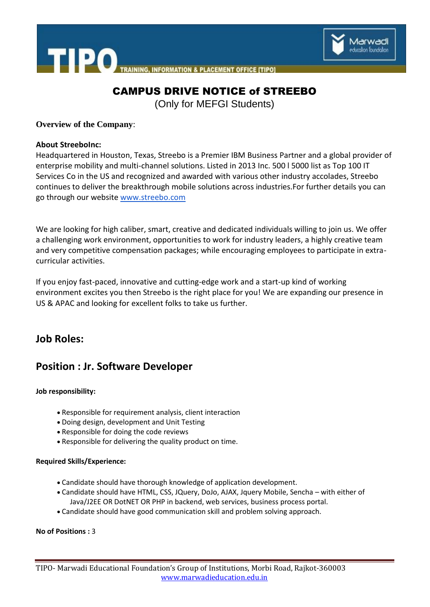

**TIPO INFORMATION & PLACEMENT OFFICE [TIPO]** 

## CAMPUS DRIVE NOTICE of STREEBO

(Only for MEFGI Students)

**Overview of the Company**:

#### **About StreeboInc:**

Headquartered in Houston, Texas, Streebo is a Premier IBM Business Partner and a global provider of enterprise mobility and multi-channel solutions. Listed in 2013 Inc. 500 l 5000 list as Top 100 IT Services Co in the US and recognized and awarded with various other industry accolades, Streebo continues to deliver the breakthrough mobile solutions across industries.For further details you can go through our website [www.streebo.com](http://www.streebo.com/)

We are looking for high caliber, smart, creative and dedicated individuals willing to join us. We offer a challenging work environment, opportunities to work for industry leaders, a highly creative team and very competitive compensation packages; while encouraging employees to participate in extracurricular activities.

If you enjoy fast-paced, innovative and cutting-edge work and a start-up kind of working environment excites you then Streebo is the right place for you! We are expanding our presence in US & APAC and looking for excellent folks to take us further.

### **Job Roles:**

## **Position : Jr. Software Developer**

#### **Job responsibility:**

- Responsible for requirement analysis, client interaction
- Doing design, development and Unit Testing
- Responsible for doing the code reviews
- Responsible for delivering the quality product on time.

#### **Required Skills/Experience:**

- Candidate should have thorough knowledge of application development.
- Candidate should have HTML, CSS, JQuery, DoJo, AJAX, Jquery Mobile, Sencha with either of Java/J2EE OR DotNET OR PHP in backend, web services, business process portal.
- Candidate should have good communication skill and problem solving approach.

**No of Positions :** 3